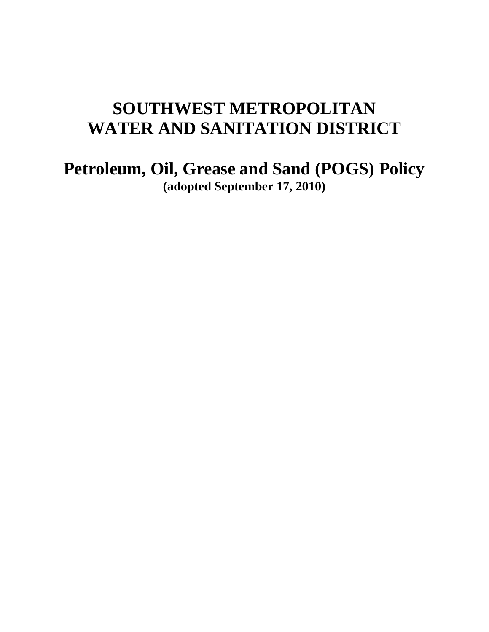# **SOUTHWEST METROPOLITAN WATER AND SANITATION DISTRICT**

**Petroleum, Oil, Grease and Sand (POGS) Policy (adopted September 17, 2010)**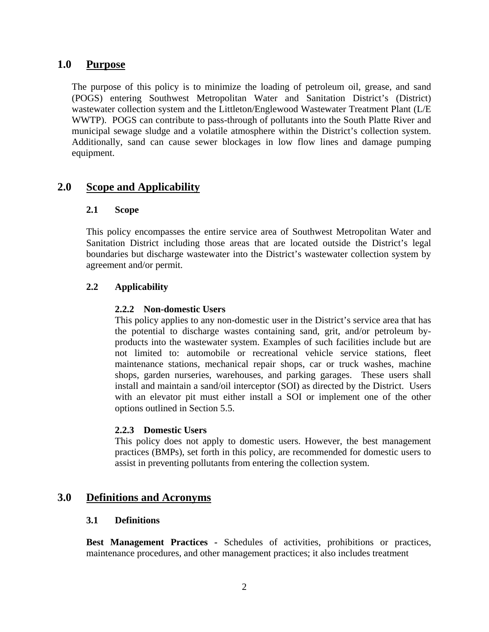# **1.0 Purpose**

The purpose of this policy is to minimize the loading of petroleum oil, grease, and sand (POGS) entering Southwest Metropolitan Water and Sanitation District's (District) wastewater collection system and the Littleton/Englewood Wastewater Treatment Plant (L/E WWTP). POGS can contribute to pass-through of pollutants into the South Platte River and municipal sewage sludge and a volatile atmosphere within the District's collection system. Additionally, sand can cause sewer blockages in low flow lines and damage pumping equipment.

# **2.0 Scope and Applicability**

#### **2.1 Scope**

This policy encompasses the entire service area of Southwest Metropolitan Water and Sanitation District including those areas that are located outside the District's legal boundaries but discharge wastewater into the District's wastewater collection system by agreement and/or permit.

#### **2.2 Applicability**

#### **2.2.2 Non-domestic Users**

This policy applies to any non-domestic user in the District's service area that has the potential to discharge wastes containing sand, grit, and/or petroleum byproducts into the wastewater system. Examples of such facilities include but are not limited to: automobile or recreational vehicle service stations, fleet maintenance stations, mechanical repair shops, car or truck washes, machine shops, garden nurseries, warehouses, and parking garages. These users shall install and maintain a sand/oil interceptor (SOI) as directed by the District. Users with an elevator pit must either install a SOI or implement one of the other options outlined in Section 5.5.

#### **2.2.3 Domestic Users**

This policy does not apply to domestic users. However, the best management practices (BMPs), set forth in this policy, are recommended for domestic users to assist in preventing pollutants from entering the collection system.

## **3.0 Definitions and Acronyms**

#### **3.1 Definitions**

**Best Management Practices** *-* Schedules of activities, prohibitions or practices, maintenance procedures, and other management practices; it also includes treatment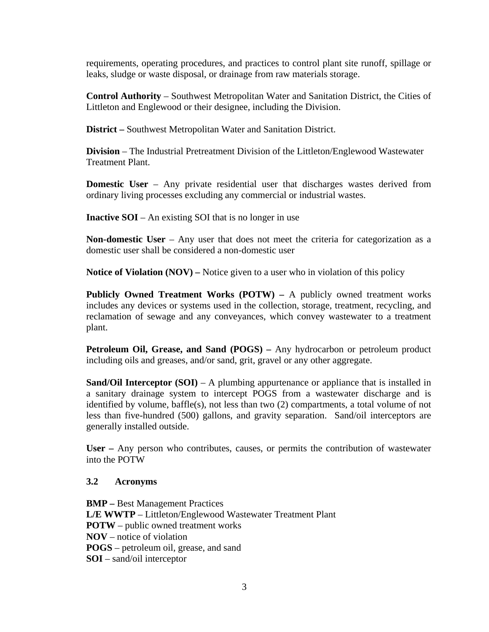requirements, operating procedures, and practices to control plant site runoff, spillage or leaks, sludge or waste disposal, or drainage from raw materials storage.

**Control Authority** – Southwest Metropolitan Water and Sanitation District, the Cities of Littleton and Englewood or their designee, including the Division.

**District** *–* Southwest Metropolitan Water and Sanitation District.

**Division** – The Industrial Pretreatment Division of the Littleton/Englewood Wastewater Treatment Plant.

**Domestic User** – Any private residential user that discharges wastes derived from ordinary living processes excluding any commercial or industrial wastes.

**Inactive SOI** – An existing SOI that is no longer in use

**Non-domestic User** – Any user that does not meet the criteria for categorization as a domestic user shall be considered a non-domestic user

**Notice of Violation (NOV) –** Notice given to a user who in violation of this policy

**Publicly Owned Treatment Works (POTW)** *–* A publicly owned treatment works includes any devices or systems used in the collection, storage, treatment, recycling, and reclamation of sewage and any conveyances, which convey wastewater to a treatment plant.

**Petroleum Oil, Grease, and Sand (POGS)** *–* Any hydrocarbon or petroleum product including oils and greases, and/or sand, grit, gravel or any other aggregate.

**Sand/Oil Interceptor (SOI)** – A plumbing appurtenance or appliance that is installed in a sanitary drainage system to intercept POGS from a wastewater discharge and is identified by volume, baffle(s), not less than two (2) compartments, a total volume of not less than five-hundred (500) gallons, and gravity separation. Sand/oil interceptors are generally installed outside.

**User** *–* Any person who contributes, causes, or permits the contribution of wastewater into the POTW

#### **3.2 Acronyms**

**BMP** *–* Best Management Practices **L/E WWTP** – Littleton/Englewood Wastewater Treatment Plant **POTW** – public owned treatment works **NOV** – notice of violation **POGS** – petroleum oil, grease, and sand **SOI** – sand/oil interceptor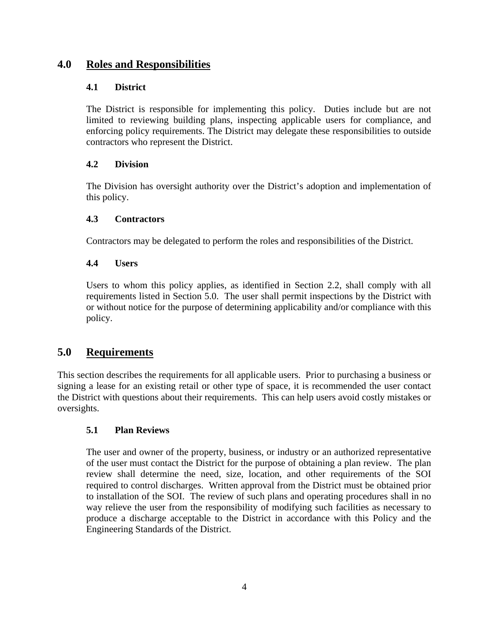# **4.0 Roles and Responsibilities**

# **4.1 District**

The District is responsible for implementing this policy. Duties include but are not limited to reviewing building plans, inspecting applicable users for compliance, and enforcing policy requirements. The District may delegate these responsibilities to outside contractors who represent the District.

# **4.2 Division**

The Division has oversight authority over the District's adoption and implementation of this policy.

# **4.3 Contractors**

Contractors may be delegated to perform the roles and responsibilities of the District.

# **4.4 Users**

Users to whom this policy applies, as identified in Section 2.2, shall comply with all requirements listed in Section 5.0. The user shall permit inspections by the District with or without notice for the purpose of determining applicability and/or compliance with this policy.

# **5.0 Requirements**

This section describes the requirements for all applicable users. Prior to purchasing a business or signing a lease for an existing retail or other type of space, it is recommended the user contact the District with questions about their requirements. This can help users avoid costly mistakes or oversights.

# **5.1 Plan Reviews**

The user and owner of the property, business, or industry or an authorized representative of the user must contact the District for the purpose of obtaining a plan review. The plan review shall determine the need, size, location, and other requirements of the SOI required to control discharges. Written approval from the District must be obtained prior to installation of the SOI. The review of such plans and operating procedures shall in no way relieve the user from the responsibility of modifying such facilities as necessary to produce a discharge acceptable to the District in accordance with this Policy and the Engineering Standards of the District.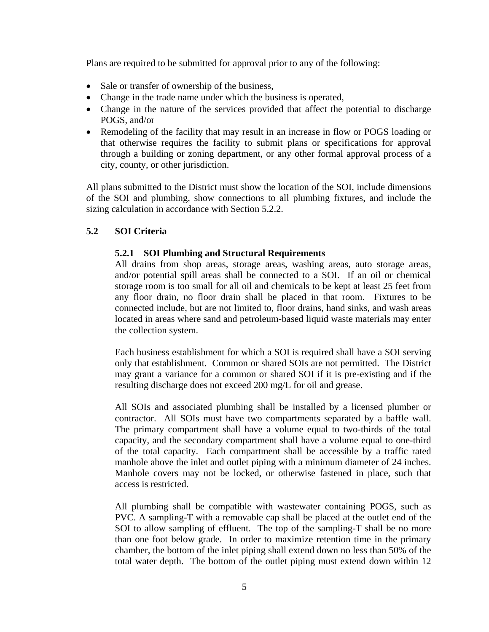Plans are required to be submitted for approval prior to any of the following:

- Sale or transfer of ownership of the business,
- Change in the trade name under which the business is operated,
- Change in the nature of the services provided that affect the potential to discharge POGS, and/or
- Remodeling of the facility that may result in an increase in flow or POGS loading or that otherwise requires the facility to submit plans or specifications for approval through a building or zoning department, or any other formal approval process of a city, county, or other jurisdiction.

All plans submitted to the District must show the location of the SOI, include dimensions of the SOI and plumbing, show connections to all plumbing fixtures, and include the sizing calculation in accordance with Section 5.2.2.

#### **5.2 SOI Criteria**

#### **5.2.1 SOI Plumbing and Structural Requirements**

All drains from shop areas, storage areas, washing areas, auto storage areas, and/or potential spill areas shall be connected to a SOI. If an oil or chemical storage room is too small for all oil and chemicals to be kept at least 25 feet from any floor drain, no floor drain shall be placed in that room. Fixtures to be connected include, but are not limited to, floor drains, hand sinks, and wash areas located in areas where sand and petroleum-based liquid waste materials may enter the collection system.

Each business establishment for which a SOI is required shall have a SOI serving only that establishment. Common or shared SOIs are not permitted. The District may grant a variance for a common or shared SOI if it is pre-existing and if the resulting discharge does not exceed 200 mg/L for oil and grease.

All SOIs and associated plumbing shall be installed by a licensed plumber or contractor. All SOIs must have two compartments separated by a baffle wall. The primary compartment shall have a volume equal to two-thirds of the total capacity, and the secondary compartment shall have a volume equal to one-third of the total capacity. Each compartment shall be accessible by a traffic rated manhole above the inlet and outlet piping with a minimum diameter of 24 inches. Manhole covers may not be locked, or otherwise fastened in place, such that access is restricted.

All plumbing shall be compatible with wastewater containing POGS, such as PVC. A sampling-T with a removable cap shall be placed at the outlet end of the SOI to allow sampling of effluent. The top of the sampling-T shall be no more than one foot below grade. In order to maximize retention time in the primary chamber, the bottom of the inlet piping shall extend down no less than 50% of the total water depth. The bottom of the outlet piping must extend down within 12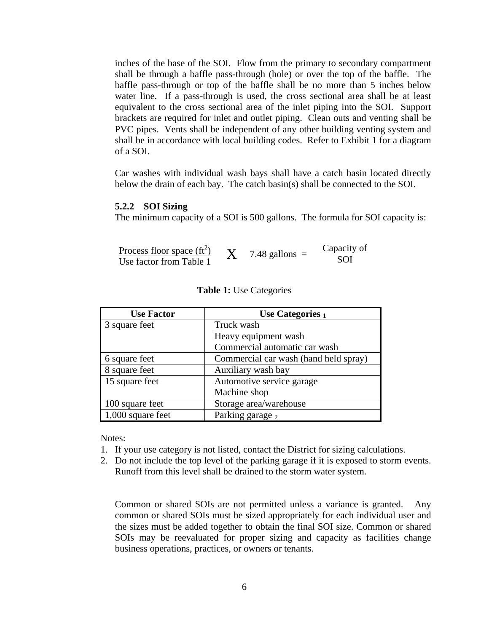inches of the base of the SOI. Flow from the primary to secondary compartment shall be through a baffle pass-through (hole) or over the top of the baffle. The baffle pass-through or top of the baffle shall be no more than 5 inches below water line. If a pass-through is used, the cross sectional area shall be at least equivalent to the cross sectional area of the inlet piping into the SOI. Support brackets are required for inlet and outlet piping. Clean outs and venting shall be PVC pipes. Vents shall be independent of any other building venting system and shall be in accordance with local building codes. Refer to Exhibit 1 for a diagram of a SOI.

Car washes with individual wash bays shall have a catch basin located directly below the drain of each bay. The catch basin(s) shall be connected to the SOI.

#### **5.2.2 SOI Sizing**

The minimum capacity of a SOI is 500 gallons. The formula for SOI capacity is:

Process floor space  $(ft^2)$  $X = 7.48$  gallons = Capacity of Use factor from Table 1

| <b>Use Factor</b> | Use Categories $_1$                   |
|-------------------|---------------------------------------|
| 3 square feet     | Truck wash                            |
|                   | Heavy equipment wash                  |
|                   | Commercial automatic car wash         |
| 6 square feet     | Commercial car wash (hand held spray) |
| 8 square feet     | Auxiliary wash bay                    |
| 15 square feet    | Automotive service garage             |
|                   | Machine shop                          |
| 100 square feet   | Storage area/warehouse                |
| 1,000 square feet | Parking garage 2                      |

| <b>Table 1:</b> Use Categories |  |
|--------------------------------|--|
|--------------------------------|--|

Notes:

- 1. If your use category is not listed, contact the District for sizing calculations.
- 2. Do not include the top level of the parking garage if it is exposed to storm events. Runoff from this level shall be drained to the storm water system.

Common or shared SOIs are not permitted unless a variance is granted. Any common or shared SOIs must be sized appropriately for each individual user and the sizes must be added together to obtain the final SOI size. Common or shared SOIs may be reevaluated for proper sizing and capacity as facilities change business operations, practices, or owners or tenants.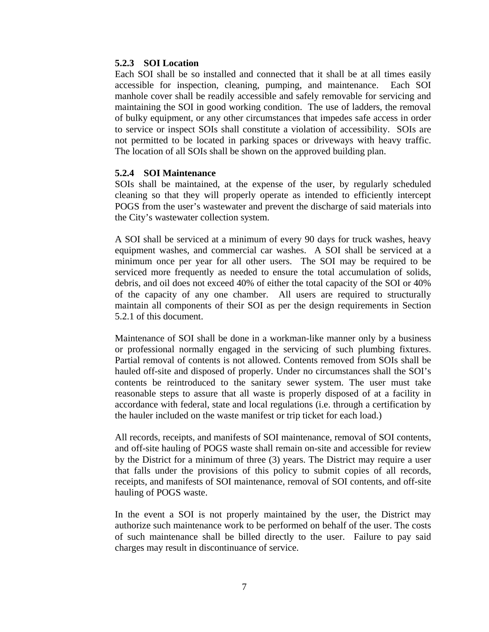#### **5.2.3 SOI Location**

Each SOI shall be so installed and connected that it shall be at all times easily accessible for inspection, cleaning, pumping, and maintenance. Each SOI manhole cover shall be readily accessible and safely removable for servicing and maintaining the SOI in good working condition. The use of ladders, the removal of bulky equipment, or any other circumstances that impedes safe access in order to service or inspect SOIs shall constitute a violation of accessibility. SOIs are not permitted to be located in parking spaces or driveways with heavy traffic. The location of all SOIs shall be shown on the approved building plan.

#### **5.2.4 SOI Maintenance**

SOIs shall be maintained, at the expense of the user, by regularly scheduled cleaning so that they will properly operate as intended to efficiently intercept POGS from the user's wastewater and prevent the discharge of said materials into the City's wastewater collection system.

A SOI shall be serviced at a minimum of every 90 days for truck washes, heavy equipment washes, and commercial car washes. A SOI shall be serviced at a minimum once per year for all other users. The SOI may be required to be serviced more frequently as needed to ensure the total accumulation of solids, debris, and oil does not exceed 40% of either the total capacity of the SOI or 40% of the capacity of any one chamber. All users are required to structurally maintain all components of their SOI as per the design requirements in Section 5.2.1 of this document.

Maintenance of SOI shall be done in a workman-like manner only by a business or professional normally engaged in the servicing of such plumbing fixtures. Partial removal of contents is not allowed. Contents removed from SOIs shall be hauled off-site and disposed of properly. Under no circumstances shall the SOI's contents be reintroduced to the sanitary sewer system. The user must take reasonable steps to assure that all waste is properly disposed of at a facility in accordance with federal, state and local regulations (i.e. through a certification by the hauler included on the waste manifest or trip ticket for each load.)

All records, receipts, and manifests of SOI maintenance, removal of SOI contents, and off-site hauling of POGS waste shall remain on-site and accessible for review by the District for a minimum of three (3) years. The District may require a user that falls under the provisions of this policy to submit copies of all records, receipts, and manifests of SOI maintenance, removal of SOI contents, and off-site hauling of POGS waste.

In the event a SOI is not properly maintained by the user, the District may authorize such maintenance work to be performed on behalf of the user. The costs of such maintenance shall be billed directly to the user. Failure to pay said charges may result in discontinuance of service.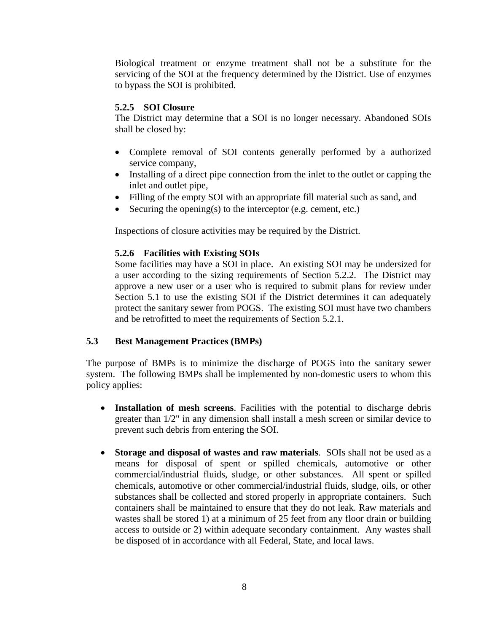Biological treatment or enzyme treatment shall not be a substitute for the servicing of the SOI at the frequency determined by the District. Use of enzymes to bypass the SOI is prohibited.

#### **5.2.5 SOI Closure**

The District may determine that a SOI is no longer necessary. Abandoned SOIs shall be closed by:

- Complete removal of SOI contents generally performed by a authorized service company,
- Installing of a direct pipe connection from the inlet to the outlet or capping the inlet and outlet pipe,
- Filling of the empty SOI with an appropriate fill material such as sand, and
- Securing the opening(s) to the interceptor (e.g. cement, etc.)

Inspections of closure activities may be required by the District.

#### **5.2.6 Facilities with Existing SOIs**

Some facilities may have a SOI in place. An existing SOI may be undersized for a user according to the sizing requirements of Section 5.2.2. The District may approve a new user or a user who is required to submit plans for review under Section 5.1 to use the existing SOI if the District determines it can adequately protect the sanitary sewer from POGS. The existing SOI must have two chambers and be retrofitted to meet the requirements of Section 5.2.1.

#### **5.3 Best Management Practices (BMPs)**

The purpose of BMPs is to minimize the discharge of POGS into the sanitary sewer system. The following BMPs shall be implemented by non-domestic users to whom this policy applies:

- **Installation of mesh screens**. Facilities with the potential to discharge debris greater than 1/2" in any dimension shall install a mesh screen or similar device to prevent such debris from entering the SOI.
- **Storage and disposal of wastes and raw materials**. SOIs shall not be used as a means for disposal of spent or spilled chemicals, automotive or other commercial/industrial fluids, sludge, or other substances. All spent or spilled chemicals, automotive or other commercial/industrial fluids, sludge, oils, or other substances shall be collected and stored properly in appropriate containers. Such containers shall be maintained to ensure that they do not leak. Raw materials and wastes shall be stored 1) at a minimum of 25 feet from any floor drain or building access to outside or 2) within adequate secondary containment. Any wastes shall be disposed of in accordance with all Federal, State, and local laws.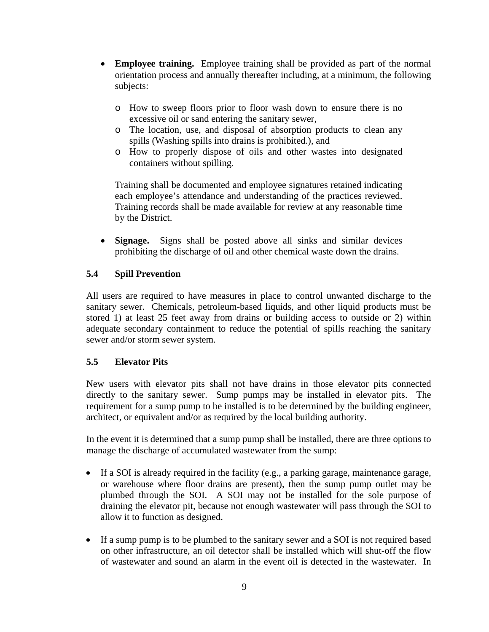- **Employee training.** Employee training shall be provided as part of the normal orientation process and annually thereafter including, at a minimum, the following subjects:
	- o How to sweep floors prior to floor wash down to ensure there is no excessive oil or sand entering the sanitary sewer,
	- o The location, use, and disposal of absorption products to clean any spills (Washing spills into drains is prohibited.), and
	- o How to properly dispose of oils and other wastes into designated containers without spilling.

Training shall be documented and employee signatures retained indicating each employee's attendance and understanding of the practices reviewed. Training records shall be made available for review at any reasonable time by the District.

• **Signage.** Signs shall be posted above all sinks and similar devices prohibiting the discharge of oil and other chemical waste down the drains.

## **5.4 Spill Prevention**

All users are required to have measures in place to control unwanted discharge to the sanitary sewer. Chemicals, petroleum-based liquids, and other liquid products must be stored 1) at least 25 feet away from drains or building access to outside or 2) within adequate secondary containment to reduce the potential of spills reaching the sanitary sewer and/or storm sewer system.

#### **5.5 Elevator Pits**

New users with elevator pits shall not have drains in those elevator pits connected directly to the sanitary sewer. Sump pumps may be installed in elevator pits. The requirement for a sump pump to be installed is to be determined by the building engineer, architect, or equivalent and/or as required by the local building authority.

In the event it is determined that a sump pump shall be installed, there are three options to manage the discharge of accumulated wastewater from the sump:

- If a SOI is already required in the facility (e.g., a parking garage, maintenance garage, or warehouse where floor drains are present), then the sump pump outlet may be plumbed through the SOI. A SOI may not be installed for the sole purpose of draining the elevator pit, because not enough wastewater will pass through the SOI to allow it to function as designed.
- If a sump pump is to be plumbed to the sanitary sewer and a SOI is not required based on other infrastructure, an oil detector shall be installed which will shut-off the flow of wastewater and sound an alarm in the event oil is detected in the wastewater. In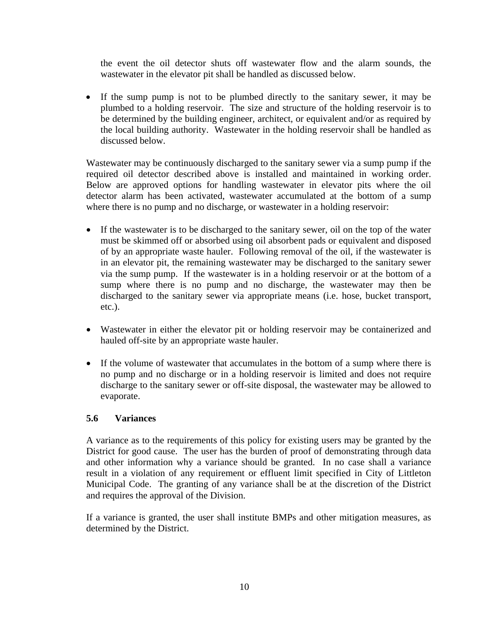the event the oil detector shuts off wastewater flow and the alarm sounds, the wastewater in the elevator pit shall be handled as discussed below.

• If the sump pump is not to be plumbed directly to the sanitary sewer, it may be plumbed to a holding reservoir. The size and structure of the holding reservoir is to be determined by the building engineer, architect, or equivalent and/or as required by the local building authority. Wastewater in the holding reservoir shall be handled as discussed below.

Wastewater may be continuously discharged to the sanitary sewer via a sump pump if the required oil detector described above is installed and maintained in working order. Below are approved options for handling wastewater in elevator pits where the oil detector alarm has been activated, wastewater accumulated at the bottom of a sump where there is no pump and no discharge, or wastewater in a holding reservoir:

- If the wastewater is to be discharged to the sanitary sewer, oil on the top of the water must be skimmed off or absorbed using oil absorbent pads or equivalent and disposed of by an appropriate waste hauler. Following removal of the oil, if the wastewater is in an elevator pit, the remaining wastewater may be discharged to the sanitary sewer via the sump pump. If the wastewater is in a holding reservoir or at the bottom of a sump where there is no pump and no discharge, the wastewater may then be discharged to the sanitary sewer via appropriate means (i.e. hose, bucket transport, etc.).
- Wastewater in either the elevator pit or holding reservoir may be containerized and hauled off-site by an appropriate waste hauler.
- If the volume of wastewater that accumulates in the bottom of a sump where there is no pump and no discharge or in a holding reservoir is limited and does not require discharge to the sanitary sewer or off-site disposal, the wastewater may be allowed to evaporate.

#### **5.6 Variances**

A variance as to the requirements of this policy for existing users may be granted by the District for good cause. The user has the burden of proof of demonstrating through data and other information why a variance should be granted. In no case shall a variance result in a violation of any requirement or effluent limit specified in City of Littleton Municipal Code. The granting of any variance shall be at the discretion of the District and requires the approval of the Division.

If a variance is granted, the user shall institute BMPs and other mitigation measures, as determined by the District.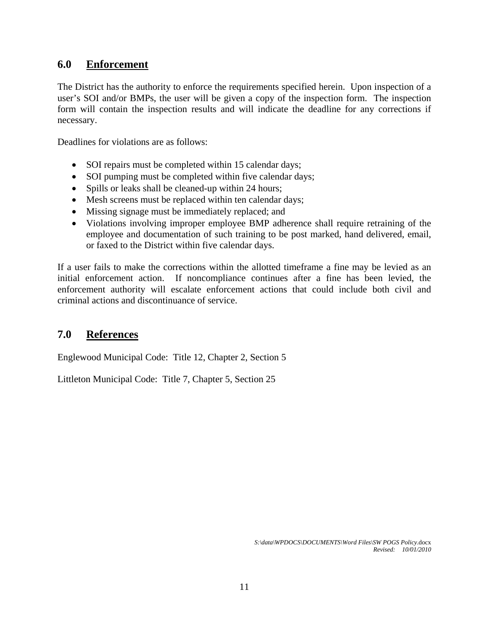# **6.0 Enforcement**

The District has the authority to enforce the requirements specified herein. Upon inspection of a user's SOI and/or BMPs, the user will be given a copy of the inspection form. The inspection form will contain the inspection results and will indicate the deadline for any corrections if necessary.

Deadlines for violations are as follows:

- SOI repairs must be completed within 15 calendar days;
- SOI pumping must be completed within five calendar days;
- Spills or leaks shall be cleaned-up within 24 hours;
- Mesh screens must be replaced within ten calendar days;
- Missing signage must be immediately replaced; and
- Violations involving improper employee BMP adherence shall require retraining of the employee and documentation of such training to be post marked, hand delivered, email, or faxed to the District within five calendar days.

If a user fails to make the corrections within the allotted timeframe a fine may be levied as an initial enforcement action. If noncompliance continues after a fine has been levied, the enforcement authority will escalate enforcement actions that could include both civil and criminal actions and discontinuance of service.

# **7.0 References**

Englewood Municipal Code: Title 12, Chapter 2, Section 5

Littleton Municipal Code: Title 7, Chapter 5, Section 25